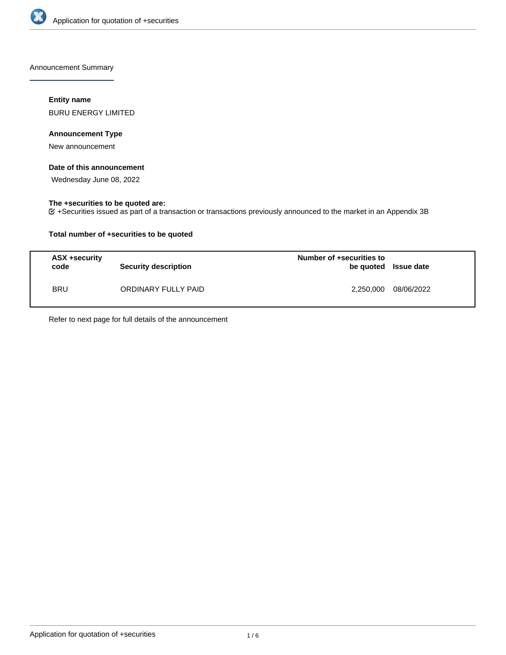

Announcement Summary

## **Entity name**

BURU ENERGY LIMITED

## **Announcement Type**

New announcement

## **Date of this announcement**

Wednesday June 08, 2022

## **The +securities to be quoted are:**

+Securities issued as part of a transaction or transactions previously announced to the market in an Appendix 3B

## **Total number of +securities to be quoted**

| ASX +security<br>code | <b>Security description</b> | Number of +securities to<br>be quoted Issue date |            |
|-----------------------|-----------------------------|--------------------------------------------------|------------|
| <b>BRU</b>            | ORDINARY FULLY PAID         | 2,250,000                                        | 08/06/2022 |

Refer to next page for full details of the announcement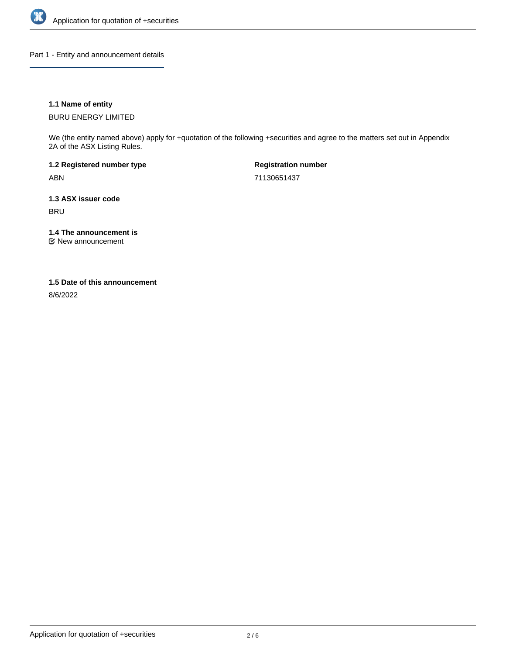

Part 1 - Entity and announcement details

## **1.1 Name of entity**

BURU ENERGY LIMITED

We (the entity named above) apply for +quotation of the following +securities and agree to the matters set out in Appendix 2A of the ASX Listing Rules.

**1.2 Registered number type** ABN

**Registration number** 71130651437

**1.3 ASX issuer code** BRU

**1.4 The announcement is**

New announcement

#### **1.5 Date of this announcement**

8/6/2022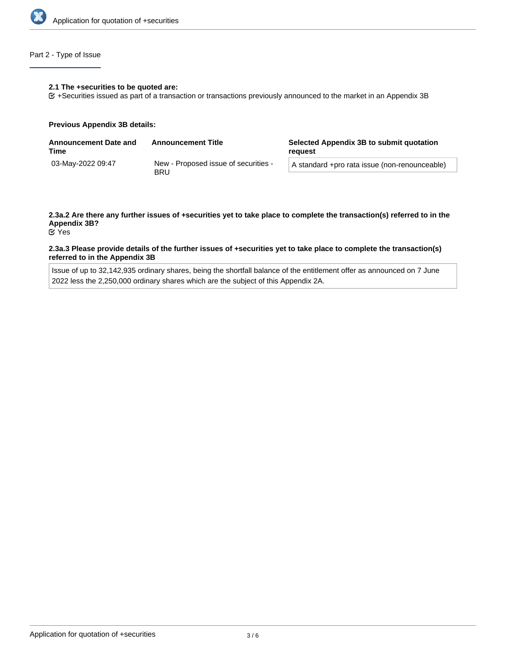

## Part 2 - Type of Issue

#### **2.1 The +securities to be quoted are:**

+Securities issued as part of a transaction or transactions previously announced to the market in an Appendix 3B

#### **Previous Appendix 3B details:**

| <b>Announcement Date and</b><br>Time | <b>Announcement Title</b>                          | Selected Appendix 3B to submit quotation<br>reauest |  |
|--------------------------------------|----------------------------------------------------|-----------------------------------------------------|--|
| 03-May-2022 09:47                    | New - Proposed issue of securities -<br><b>BRU</b> | A standard +pro rata issue (non-renounceable)       |  |

# **2.3a.2 Are there any further issues of +securities yet to take place to complete the transaction(s) referred to in the Appendix 3B?**

Yes

#### **2.3a.3 Please provide details of the further issues of +securities yet to take place to complete the transaction(s) referred to in the Appendix 3B**

Issue of up to 32,142,935 ordinary shares, being the shortfall balance of the entitlement offer as announced on 7 June 2022 less the 2,250,000 ordinary shares which are the subject of this Appendix 2A.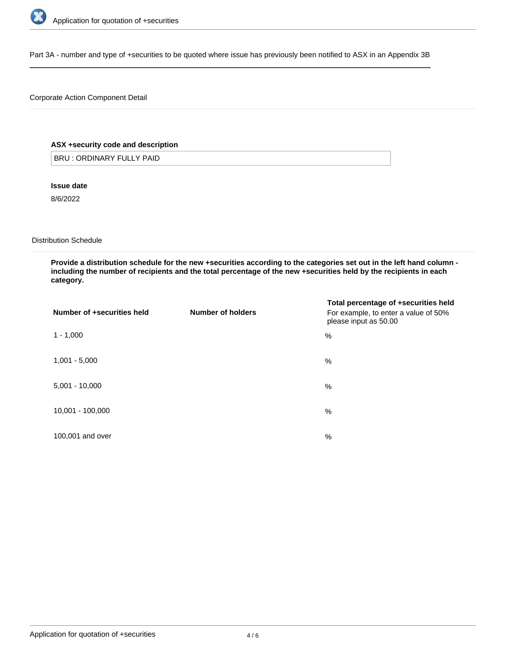

Part 3A - number and type of +securities to be quoted where issue has previously been notified to ASX in an Appendix 3B

## Corporate Action Component Detail

## **ASX +security code and description**

BRU : ORDINARY FULLY PAID

**Issue date**

8/6/2022

Distribution Schedule

**Provide a distribution schedule for the new +securities according to the categories set out in the left hand column including the number of recipients and the total percentage of the new +securities held by the recipients in each category.**

| Number of +securities held | Number of holders | Total percentage of +securities held<br>For example, to enter a value of 50%<br>please input as 50.00 |
|----------------------------|-------------------|-------------------------------------------------------------------------------------------------------|
| $1 - 1,000$                |                   | %                                                                                                     |
| $1,001 - 5,000$            |                   | %                                                                                                     |
| $5,001 - 10,000$           |                   | %                                                                                                     |
| 10,001 - 100,000           |                   | %                                                                                                     |
| 100,001 and over           |                   | %                                                                                                     |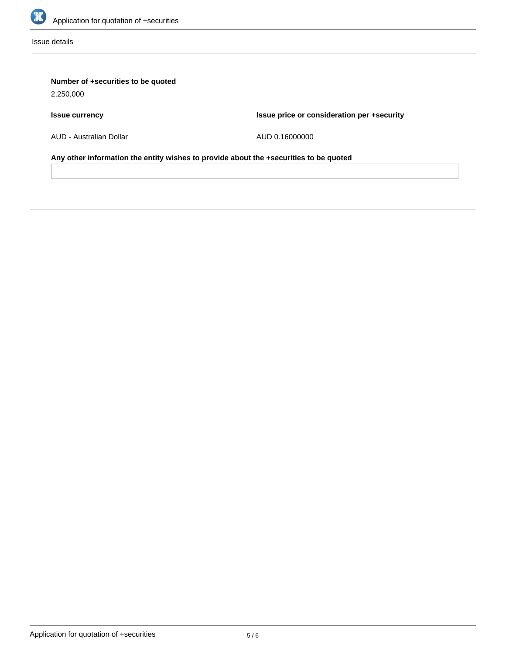

Issue details

## **Number of +securities to be quoted**

2,250,000

## **Issue currency**

**Issue price or consideration per +security**

AUD - Australian Dollar

AUD 0.16000000

**Any other information the entity wishes to provide about the +securities to be quoted**